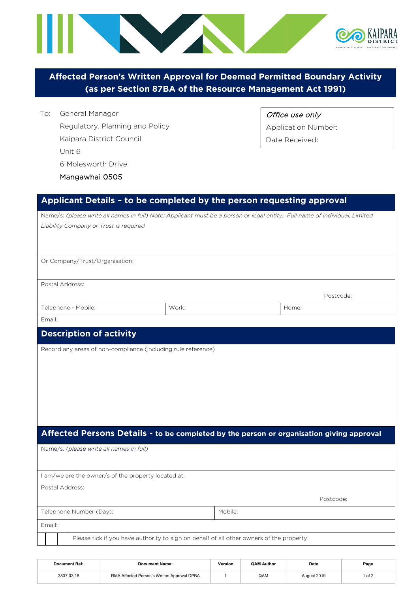

**Affected Person's Written Approval for Deemed Permitted Boundary Activity (as per Section 87BA of the Resource Management Act 1991)**

To: General Manager Regulatory, Planning and Policy Kaipara District Council Unit 6 6 Molesworth Drive Mangawhai 0505

Office use only

Application Number:

Date Received:

## **Applicant Details – to be completed by the person requesting approval**

| Name/s: (please write all names in full) Note: Applicant must be a person or legal entity. Full name of Individual, Limited |       |         |           |  |  |
|-----------------------------------------------------------------------------------------------------------------------------|-------|---------|-----------|--|--|
| Liability Company or Trust is required.                                                                                     |       |         |           |  |  |
|                                                                                                                             |       |         |           |  |  |
|                                                                                                                             |       |         |           |  |  |
| Or Company/Trust/Organisation:                                                                                              |       |         |           |  |  |
|                                                                                                                             |       |         |           |  |  |
| Postal Address:                                                                                                             |       |         |           |  |  |
|                                                                                                                             |       |         | Postcode: |  |  |
|                                                                                                                             | Work: |         | Home:     |  |  |
| Telephone - Mobile:                                                                                                         |       |         |           |  |  |
| Email:                                                                                                                      |       |         |           |  |  |
| <b>Description of activity</b>                                                                                              |       |         |           |  |  |
| Record any areas of non-compliance (including rule reference)                                                               |       |         |           |  |  |
|                                                                                                                             |       |         |           |  |  |
|                                                                                                                             |       |         |           |  |  |
|                                                                                                                             |       |         |           |  |  |
|                                                                                                                             |       |         |           |  |  |
|                                                                                                                             |       |         |           |  |  |
|                                                                                                                             |       |         |           |  |  |
|                                                                                                                             |       |         |           |  |  |
| Affected Persons Details - to be completed by the person or organisation giving approval                                    |       |         |           |  |  |
| Name/s: (please write all names in full)                                                                                    |       |         |           |  |  |
|                                                                                                                             |       |         |           |  |  |
|                                                                                                                             |       |         |           |  |  |
| I am/we are the owner/s of the property located at:                                                                         |       |         |           |  |  |
| Postal Address:                                                                                                             |       |         |           |  |  |
|                                                                                                                             |       |         | Postcode: |  |  |
| Telephone Number (Day):                                                                                                     |       | Mobile: |           |  |  |
| Email:                                                                                                                      |       |         |           |  |  |
| Please tick if you have authority to sign on behalf of all other owners of the property                                     |       |         |           |  |  |

| Document Ref: | Document Name:                              | Version | <b>QAM Author</b> | Date        | Page |
|---------------|---------------------------------------------|---------|-------------------|-------------|------|
| 3837.03.18    | RMA Affected Person's Written Approval DPBA |         | QAM               | August 2019 | of 2 |